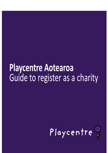# **Playcentre Aotearoa** Guide to register as a charity

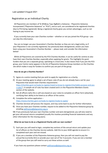#### Last updated 5 August 2021

### Registration as an Individual Charity

All Playcentres are members of Te Whānau Tupu Ngātahi o Aotearoa – Playcentre Aotearoa Incorporated ("Playcentre Aotearoa" or "PCA"), and as such, are considered to be registered charities (due to PCA being registered). Being a registered charity gives you certain advantages, such as not having to pay income tax.

If you currently have your own Charities number – whether or not you joined the PCA group – you can skip this information.

You can no longer use your Association's Charities Number as they are not a legal entity, so if your Playcentre is not currently registered, has previously been deregistered, and/or you have been using your Association's Charities Number – please read, and consider the information below!

Whilst all Playcentres are covered by the PCA Charities Number, it can be useful for centres to also have their own Charities Number, especially when applying for grants. This highlights for grant funders that you are a separate group, operating in a local area. It also means that if you join the PCA group, your Centre name appears in the list of Playcentre Aotearoa Group members on the Charities site which makes it easy for funders to confirm you are part of the group.

#### **How do we get a Charities Number?**

- 1) Agree at a centre meeting that you wish to apply for registration as a charity.
- 2) At your meeting agree to adopt a set of basic rules (if you do not already have a set for your Playcentre that would meet Charities requirements  [https://charities.govt.nz/ready-to-register/need-to-know-to-register/charitable-purpose-and-you](https://charities.govt.nz/ready-to-register/need-to-know-to-register/charitable-purpose-and-your-rules/) [r-rules/](https://charities.govt.nz/ready-to-register/need-to-know-to-register/charitable-purpose-and-your-rules/)[\)](https://charities.govt.nz/apply-for-registration/rules-and-the-charities-act-2005/). A sample set of rules has been created and is in the Playcentre Members Grants section of the website.
- 3) Ask all officers (who this is will vary based on your rules) to complete an officer form (attached), certifying their ability to be listed as an officer of the centre.
- 4) Complete the online application [–](https://charities.govt.nz/) <https://www.charities.govt.nz/ready-to-register/ready-to-apply/>
- 5) Charities Services will process the request, and may come back to you for further information.
- 6) Once you have your Charities number, request to be added to the Playcentre Aotearoa group by emailing [askfinance@playcentre.org.nz](mailto:askfinance@playcentre.org.nz)

NB: If you previously had your own Charities number and were deregistered, you will also need to get your old annual returns completed (usually this involves providing financial statements and any other information for the missing years).

#### **What do we have to do as a Registered Charity with our own number?**

- 1) Each year you will need to login, complete key sections of the annual return and update your list of officers on the Charities Service website. Add this to your AGM agenda to ensure it is completed each year and not missed.
- 2) If you are a member of the Playcentre Aotearoa group, then you will not need to pay the annual fee (currently \$51) or provide your own set of Tier 4 accounts. If you are not a member of the group then you will need to carry out these actions as well.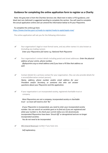## **Guidance for completing the online application form to register as a Charity**

Note: the grey text is from the Charities Services site. Black text in italics is PCA guidance, and black text non-italicised is suggested wording to complete the section. You will need to complete the actual application online and can amend the information below to fit your Playcentre.

To complete this online go here: <https://www.charities.govt.nz/ready-to-register/ready-to-apply/apply-now/>

The online application will ask you for the following information:

- ✔ Your organisation's legal or most formal name, and any other names it is also known as (including any trading names). *Enter your Playcentres full name e.g. National Park Playcentre*
- ✔ Your organisation's contact details including postal and street addresses: *Enter the physical address of your centre, phone number, @playcentre.org.nz email address and if you have a PO Box that address as well.*
- ✔ Contact details for a primary contact for your organisation. (You can also provide details for a second/alternative contact person). *Name, address, phone number and/or email address for your President and/or Secretary, or someone else who can answer questions about your Playcentre and this application.*
- ✔ If your organisation is an incorporated society, registered charitable trust or company.

*Most Playcentres are not a company, incorporated society or charitable trust – so most will need to click 'No'*

*If your Playcentre is incorporated, you need to enter your incorporated society number. You can search on societies.govt.nz to find out if you are registered and what your number is. Do check your current status as a lot of previously incorporated Playcentres have been 'Struck Off' or deregistered and are no longer incorporated societies.*

*You do not need to be incorporated.*

✔ IRD (Inland [Revenue\)](http://www.ird.govt.nz/) number if you have one.

*Self explanatory.*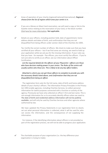- ✔ Areas of operation of your charity (regional/national/international). Regional *choose from the list of regions which area your centre is in.*
- $\checkmark$  If you are a Marae on Maori land reservation, we will need a copy or link to the Gazette notice relating to the reservation of your land, or the block number. Click here for more [information.](https://www.charities.govt.nz/apply-for-registration/how-to-apply/what-you-will-need-to-apply/registering-a-marae-on-a-maori-reservation-as-a-charity/) Not applicable.
- ✔ Details on your officers, including position held, date of appointment, home address details and dates of birth, and confirmation that they are not disqualified from being officers under section 16(2) of the Charities Act 2005.

Tip: Certify the correct number of officers. We check to make sure that you have certified all your officers – but if we find some are missing, we need to hold up your application while we ask you for the missing information. If your rules say that you have - for example - five officers, you must certify five officers. If you're not sure who to certify as an officer, see our information about Officer Certification.

*List the required details for the officers of your Playcentre –officers are those who have decision making power in your centre. The Rules of the centre will usually outline who these are. This is likely to be any key office holders.*

#### *Attached is a form you can get those officers to complete to provide you with the necessary details listed above, and confirmation that they are not disqualified from being an officer.*

The registration form asks for the full name, date of birth and home address details of your charity's officers. The Information Privacy Principles in the Privacy Act 1993 enable agencies, including Charities Services, to collect personal information for lawful purposes connected with a function or activity of the agency. Previously we have only collected an officer's first and last name. This is not enough information for us to accurately identify officers when we need to. **The date of birth and residential address information will not be publicly available**, and will only be used by Charities Services and other agencies where authorised by law.

We have updated the Privacy Statements in our registration form to clearly set out what personal information is collected, what it will be used for, who can access the information, and the consequences of not supplying the information.

For instance, if the identifying information about officers is not provided as part of the registration process, we will not be able to progress your application.

 $\checkmark$  The charitable purpose of your organisation (i.e. the key difference your organisation is trying to make).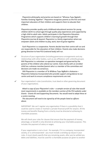Playcentre philosophy and practice are based on "Whanau Tupu Ngatahi - Families Growing Together". Playcentre recognises parents as the first and most important educators of their children and supports them to educate their children.

Playcentre provides quality early childhood educational sessions for young children (birth to school age) through quality play experiences and supported by a high child to adult ratio. Adults participate in the Playcentre Education Programme which supports children's learning & growth through their Playcentre journey & beyond. Playcentre is a family organisation where we empower adults and children to play, work, learn & grow together.

Each Playcentre is a cooperative. Parents decide how their centre will run and are responsible for the education of their children. Parents also make decisions giving direction to how PCA (national body) will run.

✔ Structure of your organisation (including governance arrangements and any relationships with other bodies, such as any affiliations with umbrella groups). XXX Playcentre is a volunteer co-operative managed and governed by the parents of the children who attend our centre. Every family with an enrolled child has a whanau member/parent who is a member of the committee and decisions are made via consensus.

XXX Playcentre is a member of Te Whānau Tupu Ngātahi o Aotearoa – Playcentre Aotearoa Incorporated who provide support and guidance to our centre and work to ensure compliance requirements are met.

✔ Your organisation's rules (constitution, trust deed or other governing document of your organisation).

*Attach a copy of your Playcentre's rules – a sample version of rules that would meet requirements is available on the members section of the PCA website under Grants - Grants Kit and Supporting Documents. You would need to adopt these at a centre meeting.*

*This document will need to be signed by all the people listed as officers above.*

IMPORTANT: We can't register any organisation if there is a possibility that it could be used to create or maintain a private financial profit for anyone. All the money and benefits flowing from a charity must be directed at achieving its charitable purposes.

We will check your rules for clauses that ensure that the payment of money, advantage, or benefit is only directed at achieving your charitable purposes. This includes the payment of salary or wages.

If your organisation is not a trust - for example, if it is a company, incorporated society, or is unincorporated - you must include a winding-up clause in your rules. It must clearly specify that any remaining assets, after you've settled any debts and liabilities, must be used for a charitable purpose (or given to another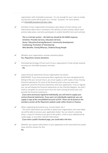organisation with charitable purposes). It's not enough for your rules to simply say that the assets will be given to a "similar" purpose. For more details, see [Charitable](https://www.charities.govt.nz/ready-to-register/need-to-know-to-register/charitable-purpose-and-your-rules/) purpose and your rules.

 $\checkmark$  Activities of your organisation (including a description of each activity, and information about who is involved in the delivery of each activity, where each activity takes place, and who participates in and/or benefits from each activity).

> *This is a tick box section – the bold one should be the MAIN response.* Activities: Provides Services, Education Services Sector: Education/training/Research, Community Development, Fundraising, Promotion of Volunteering Who Benefits: Family/Whanau, Children/Young People

- ✔ Whether your organisation receives donations/koha. Yes, Playcentres receive donations.
- $\checkmark$  Estimated percentage of how much of your organisation's funds will go towards carrying out charitable purposes overseas 0%
- $\checkmark$  Latest financial statements (if your organisation has these) IMPORTANT: If you have previously been registered, but were deregistered for failing to file your annual return, you must supply us with copies of any missing financial statements, for each of the financial years since you were last registered. Send the financial statements with your application. If we re-register you, we will display the financial statements on the Charities Register. You don't need to complete an annual return form for each missing financial year, just provide the financial statements.

*If you were previously registered individually, you will need to supply your centres financial statements. If you were not individually registered, you can supply a copy of the consolidated accounts of PCA. These can be found on the members section of the Playcentre website under either Grants or Finance.*

 $\checkmark$  Other supporting documents (e.g. annual report, etc.)

The more information you provide us about your organisation, the more likely we will be able to process your application faster. You can attach a covering letter, a copy of a brochure you give to the public, a link to your website/social media page, or any other relevant information.

*If you have a public Facebook page, you could add a link here.*

- $\checkmark$  Whether you require information in your application to be restricted from public view, and the reasons for this.
	- No.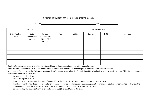#### CHARITIES COMMISSON OFFICE HOLDER CONFIRMATION FORM

Centre Year Year Manual Manual Medicine Service Service Service Service Service Service Service Service Service Service Service Service Service Service Service Service Service Service Service Service Service Service Servic

| Position                       |                                  |                                                           | Personal Details |        |         |            |         |
|--------------------------------|----------------------------------|-----------------------------------------------------------|------------------|--------|---------|------------|---------|
| <b>Office Position</b><br>Held | Date<br>appointed to<br>position | Signature<br>confirming of<br>right to hold<br>position * | First            | Middle | Surname | <b>DOB</b> | Address |
|                                |                                  |                                                           |                  |        |         |            |         |
|                                |                                  |                                                           |                  |        |         |            |         |
|                                |                                  |                                                           |                  |        |         |            |         |
|                                |                                  |                                                           |                  |        |         |            |         |
|                                |                                  |                                                           |                  |        |         |            |         |

Charities Services requires us to provide the attached information as part of our application/annual return.

Addresses and Date of birth are used for identification purposes only and will not be made public on the Charities Services website.

\*As detailed in Form 2, being the "Officer Certification form" provided by the Charities Commission of New Zealand, in order to qualify to be an Office Holder under the Charities Act, an officer must NOT be:

- An undischarged bankrupt
- Under the age of 16 years
- Convicted of a crime involving dishonesty (section 2(1) of the *Crimes Act 1961*) and sentenced within the last 7 years
- Prohibited from being a director or promoter of, or being concerned or taking part in the management of, an incorporated or unincorporated body under the *Companies Act 1993*, the *Securities Act 1978*, the *Securities Markets Act 1988* or the *Takeovers Act 1993*
- Disqualified by the Charities Commission under section 31(4) of the *Charities Act 2005*